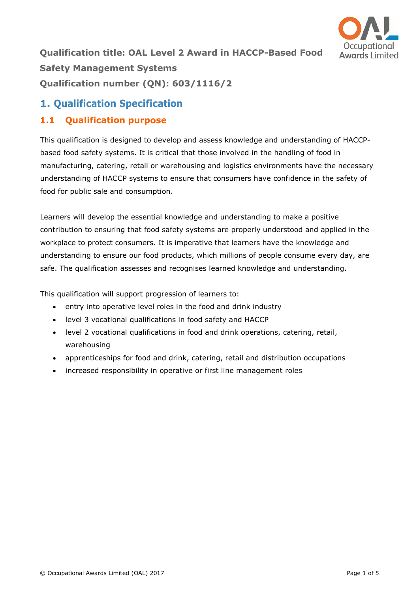

**Qualification title: OAL Level 2 Award in HACCP-Based Food Safety Management Systems Qualification number (QN): 603/1116/2**

# **1. Qualification Specification**

## **1.1 Qualification purpose**

This qualification is designed to develop and assess knowledge and understanding of HACCPbased food safety systems. It is critical that those involved in the handling of food in manufacturing, catering, retail or warehousing and logistics environments have the necessary understanding of HACCP systems to ensure that consumers have confidence in the safety of food for public sale and consumption.

Learners will develop the essential knowledge and understanding to make a positive contribution to ensuring that food safety systems are properly understood and applied in the workplace to protect consumers. It is imperative that learners have the knowledge and understanding to ensure our food products, which millions of people consume every day, are safe. The qualification assesses and recognises learned knowledge and understanding.

This qualification will support progression of learners to:

- entry into operative level roles in the food and drink industry
- level 3 vocational qualifications in food safety and HACCP
- level 2 vocational qualifications in food and drink operations, catering, retail, warehousing
- apprenticeships for food and drink, catering, retail and distribution occupations
- increased responsibility in operative or first line management roles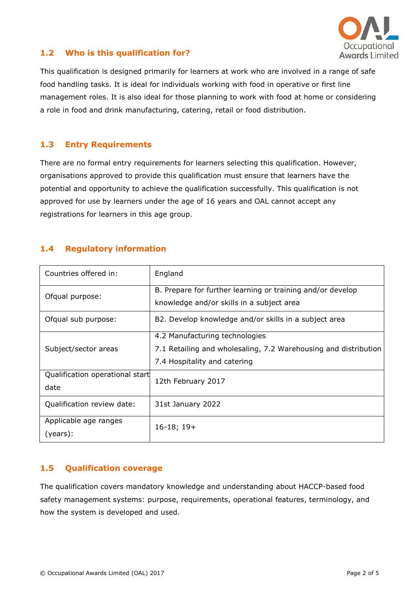

#### **1.2 Who is this qualification for?**

This qualification is designed primarily for learners at work who are involved in a range of safe food handling tasks. It is ideal for individuals working with food in operative or first line management roles. It is also ideal for those planning to work with food at home or considering a role in food and drink manufacturing, catering, retail or food distribution.

#### **1.3 Entry Requirements**

There are no formal entry requirements for learners selecting this qualification. However, organisations approved to provide this qualification must ensure that learners have the potential and opportunity to achieve the qualification successfully. This qualification is not approved for use by learners under the age of 16 years and OAL cannot accept any registrations for learners in this age group.

### **1.4 Regulatory information**

| Countries offered in:                   | England                                                                                                                           |  |  |  |
|-----------------------------------------|-----------------------------------------------------------------------------------------------------------------------------------|--|--|--|
| Ofqual purpose:                         | B. Prepare for further learning or training and/or develop<br>knowledge and/or skills in a subject area                           |  |  |  |
| Ofqual sub purpose:                     | B2. Develop knowledge and/or skills in a subject area                                                                             |  |  |  |
| Subject/sector areas                    | 4.2 Manufacturing technologies<br>7.1 Retailing and wholesaling, 7.2 Warehousing and distribution<br>7.4 Hospitality and catering |  |  |  |
| Qualification operational start<br>date | 12th February 2017                                                                                                                |  |  |  |
| Qualification review date:              | 31st January 2022                                                                                                                 |  |  |  |
| Applicable age ranges<br>(years):       | $16-18; 19+$                                                                                                                      |  |  |  |

#### **1.5 Qualification coverage**

The qualification covers mandatory knowledge and understanding about HACCP-based food safety management systems: purpose, requirements, operational features, terminology, and how the system is developed and used.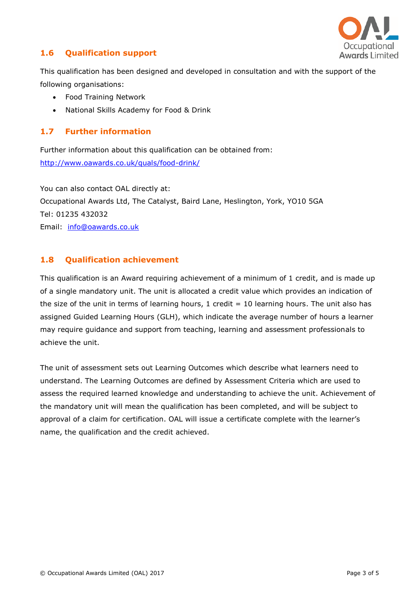

#### **1.6 Qualification support**

This qualification has been designed and developed in consultation and with the support of the following organisations:

- Food Training Network
- National Skills Academy for Food & Drink

#### **1.7 Further information**

Further information about this qualification can be obtained from: <http://www.oawards.co.uk/quals/food-drink/>

You can also contact OAL directly at: Occupational Awards Ltd, The Catalyst, Baird Lane, Heslington, York, YO10 5GA Tel: 01235 432032 Email: [info@oawards.co.uk](mailto:info@oawards.co.uk)

#### **1.8 Qualification achievement**

This qualification is an Award requiring achievement of a minimum of 1 credit, and is made up of a single mandatory unit. The unit is allocated a credit value which provides an indication of the size of the unit in terms of learning hours,  $1$  credit =  $10$  learning hours. The unit also has assigned Guided Learning Hours (GLH), which indicate the average number of hours a learner may require guidance and support from teaching, learning and assessment professionals to achieve the unit.

The unit of assessment sets out Learning Outcomes which describe what learners need to understand. The Learning Outcomes are defined by Assessment Criteria which are used to assess the required learned knowledge and understanding to achieve the unit. Achievement of the mandatory unit will mean the qualification has been completed, and will be subject to approval of a claim for certification. OAL will issue a certificate complete with the learner's name, the qualification and the credit achieved.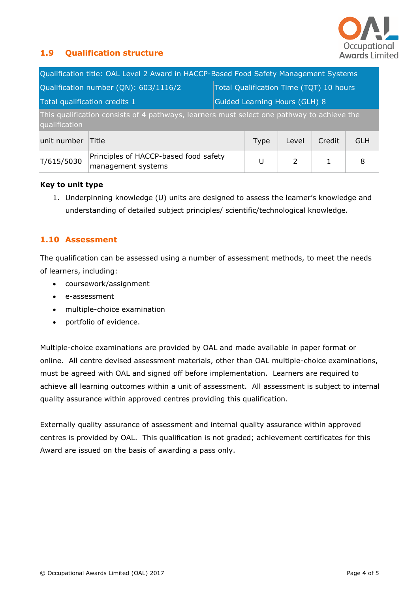

#### **1.9 Qualification structure**

| Qualification title: OAL Level 2 Award in HACCP-Based Food Safety Management Systems                        |                                                             |                                         |                               |                |        |            |  |  |
|-------------------------------------------------------------------------------------------------------------|-------------------------------------------------------------|-----------------------------------------|-------------------------------|----------------|--------|------------|--|--|
| Qualification number (QN): 603/1116/2                                                                       |                                                             | Total Qualification Time (TQT) 10 hours |                               |                |        |            |  |  |
| Total qualification credits 1                                                                               |                                                             |                                         | Guided Learning Hours (GLH) 8 |                |        |            |  |  |
| This qualification consists of 4 pathways, learners must select one pathway to achieve the<br>qualification |                                                             |                                         |                               |                |        |            |  |  |
| unit number                                                                                                 | Title                                                       |                                         | <b>Type</b>                   | Level          | Credit | <b>GLH</b> |  |  |
| T/615/5030                                                                                                  | Principles of HACCP-based food safety<br>management systems |                                         | U                             | $\overline{2}$ | 1      | 8          |  |  |

#### **Key to unit type**

1. Underpinning knowledge (U) units are designed to assess the learner's knowledge and understanding of detailed subject principles/ scientific/technological knowledge.

#### **1.10 Assessment**

The qualification can be assessed using a number of assessment methods, to meet the needs of learners, including:

- coursework/assignment
- e-assessment
- multiple-choice examination
- portfolio of evidence.

Multiple-choice examinations are provided by OAL and made available in paper format or online. All centre devised assessment materials, other than OAL multiple-choice examinations, must be agreed with OAL and signed off before implementation. Learners are required to achieve all learning outcomes within a unit of assessment. All assessment is subject to internal quality assurance within approved centres providing this qualification.

Externally quality assurance of assessment and internal quality assurance within approved centres is provided by OAL. This qualification is not graded; achievement certificates for this Award are issued on the basis of awarding a pass only.